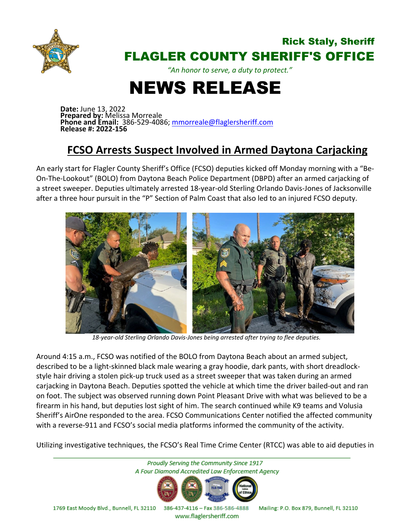

## Rick Staly, Sheriff FLAGLER COUNTY SHERIFF'S OFFICE

*"An honor to serve, a duty to protect."*

## NEWS RELEASE

**Date:** June 13, 2022 **Prepared by:** Melissa Morreale **Phone and Email:** 386-529-4086; [mmorreale@flaglersheriff.com](mailto:mmorreale@flaglersheriff.com) **Release #: 2022-156**

## **FCSO Arrests Suspect Involved in Armed Daytona Carjacking**

An early start for Flagler County Sheriff's Office (FCSO) deputies kicked off Monday morning with a "Be-On-The-Lookout" (BOLO) from Daytona Beach Police Department (DBPD) after an armed carjacking of a street sweeper. Deputies ultimately arrested 18-year-old Sterling Orlando Davis-Jones of Jacksonville after a three hour pursuit in the "P" Section of Palm Coast that also led to an injured FCSO deputy.



 *18-year-old Sterling Orlando Davis-Jones being arrested after trying to flee deputies.*

Around 4:15 a.m., FCSO was notified of the BOLO from Daytona Beach about an armed subject, described to be a light-skinned black male wearing a gray hoodie, dark pants, with short dreadlockstyle hair driving a stolen pick-up truck used as a street sweeper that was taken during an armed carjacking in Daytona Beach. Deputies spotted the vehicle at which time the driver bailed-out and ran on foot. The subject was observed running down Point Pleasant Drive with what was believed to be a firearm in his hand, but deputies lost sight of him. The search continued while K9 teams and Volusia Sheriff's AirOne responded to the area. FCSO Communications Center notified the affected community with a reverse-911 and FCSO's social media platforms informed the community of the activity.

Utilizing investigative techniques, the FCSO's Real Time Crime Center (RTCC) was able to aid deputies in



www.flaglersheriff.com